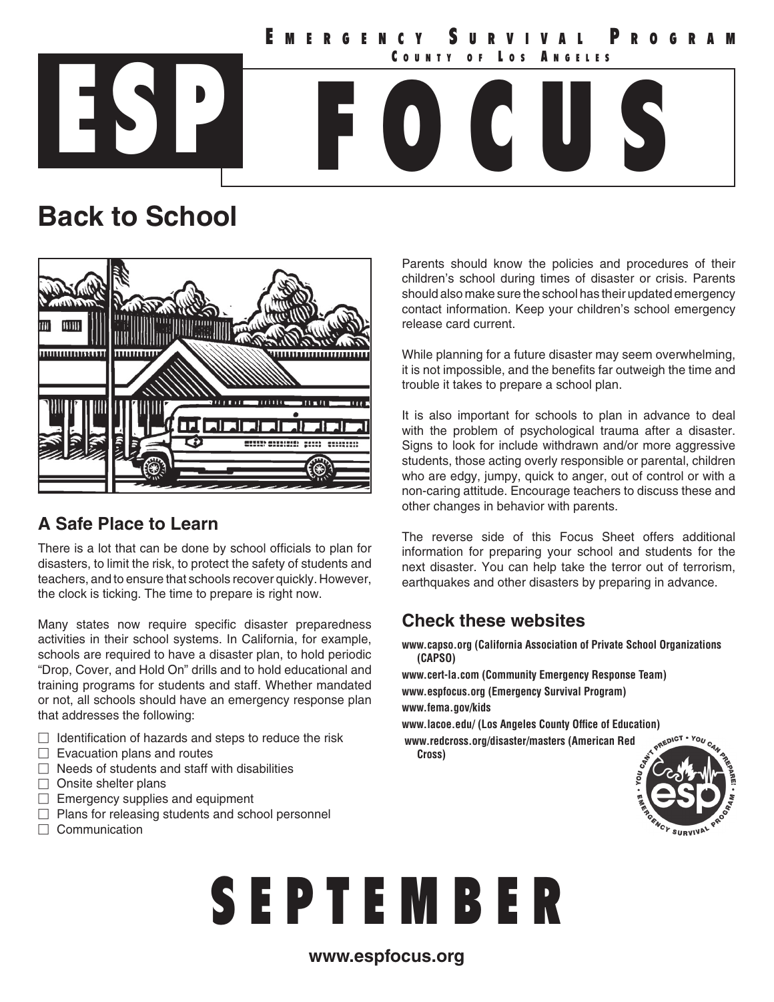ESP FOCUS **MERGENCY SURVI**<br>County of Los COUNTY OF LOS ANGELES

## **Back to School**



#### **A Safe Place to Learn**

There is a lot that can be done by school officials to plan for disasters, to limit the risk, to protect the safety of students and teachers, and to ensure that schools recover quickly. However, the clock is ticking. The time to prepare is right now.

Many states now require specific disaster preparedness activities in their school systems. In California, for example, schools are required to have a disaster plan, to hold periodic "Drop, Cover, and Hold On" drills and to hold educational and training programs for students and staff. Whether mandated or not, all schools should have an emergency response plan that addresses the following:

- $\Box$  Identification of hazards and steps to reduce the risk
- $\Box$  Evacuation plans and routes
- $\Box$  Needs of students and staff with disabilities
- $\Box$  Onsite shelter plans
- $\Box$  Emergency supplies and equipment
- $\Box$  Plans for releasing students and school personnel
- $\Box$  Communication

Parents should know the policies and procedures of their children's school during times of disaster or crisis. Parents should also make sure the school has their updated emergency contact information. Keep your children's school emergency release card current.

While planning for a future disaster may seem overwhelming, it is not impossible, and the benefits far outweigh the time and trouble it takes to prepare a school plan.

It is also important for schools to plan in advance to deal with the problem of psychological trauma after a disaster. Signs to look for include withdrawn and/or more aggressive students, those acting overly responsible or parental, children who are edgy, jumpy, quick to anger, out of control or with a non-caring attitude. Encourage teachers to discuss these and other changes in behavior with parents.

The reverse side of this Focus Sheet offers additional information for preparing your school and students for the next disaster. You can help take the terror out of terrorism, earthquakes and other disasters by preparing in advance.

#### **Check these websites**

**www.capso.org (California Association of Private School Organizations (CAPSO)**

**www.cert-la.com (Community Emergency Response Team) www.espfocus.org (Emergency Survival Program) www.fema.gov/kids**

**www.lacoe.edu/ (Los Angeles County Office of Education) www.redcross.org/disaster/masters (American Red** 

**Cross)**



# S E P T E M B E R

#### **www.espfocus.org**